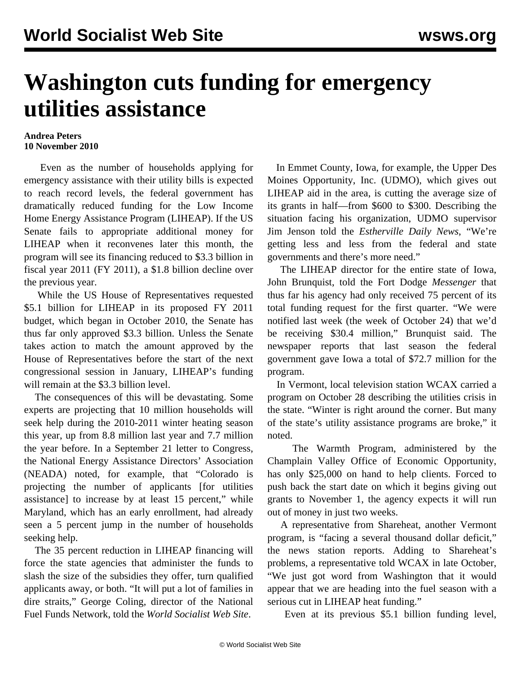## **Washington cuts funding for emergency utilities assistance**

## **Andrea Peters 10 November 2010**

 Even as the number of households applying for emergency assistance with their utility bills is expected to reach record levels, the federal government has dramatically reduced funding for the Low Income Home Energy Assistance Program (LIHEAP). If the US Senate fails to appropriate additional money for LIHEAP when it reconvenes later this month, the program will see its financing reduced to \$3.3 billion in fiscal year 2011 (FY 2011), a \$1.8 billion decline over the previous year.

 While the US House of Representatives requested \$5.1 billion for LIHEAP in its proposed FY 2011 budget, which began in October 2010, the Senate has thus far only approved \$3.3 billion. Unless the Senate takes action to match the amount approved by the House of Representatives before the start of the next congressional session in January, LIHEAP's funding will remain at the \$3.3 billion level.

 The consequences of this will be devastating. Some experts are projecting that 10 million households will seek help during the 2010-2011 winter heating season this year, up from 8.8 million last year and 7.7 million the year before. In a September 21 letter to Congress, the National Energy Assistance Directors' Association (NEADA) noted, for example, that "Colorado is projecting the number of applicants [for utilities assistance] to increase by at least 15 percent," while Maryland, which has an early enrollment, had already seen a 5 percent jump in the number of households seeking help.

 The 35 percent reduction in LIHEAP financing will force the state agencies that administer the funds to slash the size of the subsidies they offer, turn qualified applicants away, or both. "It will put a lot of families in dire straits," George Coling, director of the National Fuel Funds Network, told the *World Socialist Web Site*.

 In Emmet County, Iowa, for example, the Upper Des Moines Opportunity, Inc. (UDMO), which gives out LIHEAP aid in the area, is cutting the average size of its grants in half—from \$600 to \$300. Describing the situation facing his organization, UDMO supervisor Jim Jenson told the *Estherville Daily News*, "We're getting less and less from the federal and state governments and there's more need."

 The LIHEAP director for the entire state of Iowa, John Brunquist, told the Fort Dodge *Messenger* that thus far his agency had only received 75 percent of its total funding request for the first quarter. "We were notified last week (the week of October 24) that we'd be receiving \$30.4 million," Brunquist said. The newspaper reports that last season the federal government gave Iowa a total of \$72.7 million for the program.

 In Vermont, local television station WCAX carried a program on October 28 describing the utilities crisis in the state. "Winter is right around the corner. But many of the state's utility assistance programs are broke," it noted.

 The Warmth Program, administered by the Champlain Valley Office of Economic Opportunity, has only \$25,000 on hand to help clients. Forced to push back the start date on which it begins giving out grants to November 1, the agency expects it will run out of money in just two weeks.

 A representative from Shareheat, another Vermont program, is "facing a several thousand dollar deficit," the news station reports. Adding to Shareheat's problems, a representative told WCAX in late October, "We just got word from Washington that it would appear that we are heading into the fuel season with a serious cut in LIHEAP heat funding."

Even at its previous \$5.1 billion funding level,